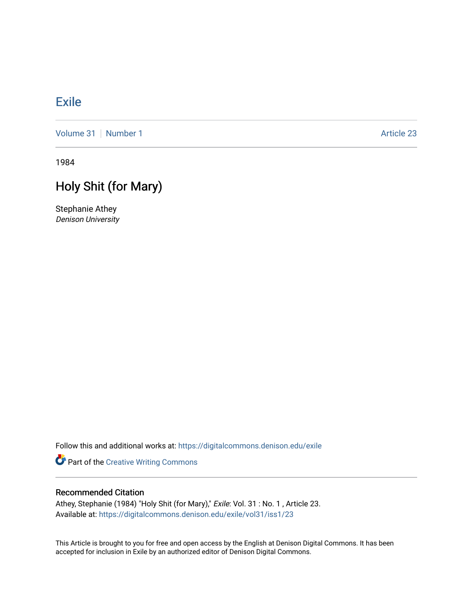## [Exile](https://digitalcommons.denison.edu/exile)

[Volume 31](https://digitalcommons.denison.edu/exile/vol31) [Number 1](https://digitalcommons.denison.edu/exile/vol31/iss1) Article 23

1984

## Holy Shit (for Mary)

Stephanie Athey Denison University

Follow this and additional works at: [https://digitalcommons.denison.edu/exile](https://digitalcommons.denison.edu/exile?utm_source=digitalcommons.denison.edu%2Fexile%2Fvol31%2Fiss1%2F23&utm_medium=PDF&utm_campaign=PDFCoverPages) 

Part of the [Creative Writing Commons](http://network.bepress.com/hgg/discipline/574?utm_source=digitalcommons.denison.edu%2Fexile%2Fvol31%2Fiss1%2F23&utm_medium=PDF&utm_campaign=PDFCoverPages) 

## Recommended Citation

Athey, Stephanie (1984) "Holy Shit (for Mary)," Exile: Vol. 31 : No. 1 , Article 23. Available at: [https://digitalcommons.denison.edu/exile/vol31/iss1/23](https://digitalcommons.denison.edu/exile/vol31/iss1/23?utm_source=digitalcommons.denison.edu%2Fexile%2Fvol31%2Fiss1%2F23&utm_medium=PDF&utm_campaign=PDFCoverPages)

This Article is brought to you for free and open access by the English at Denison Digital Commons. It has been accepted for inclusion in Exile by an authorized editor of Denison Digital Commons.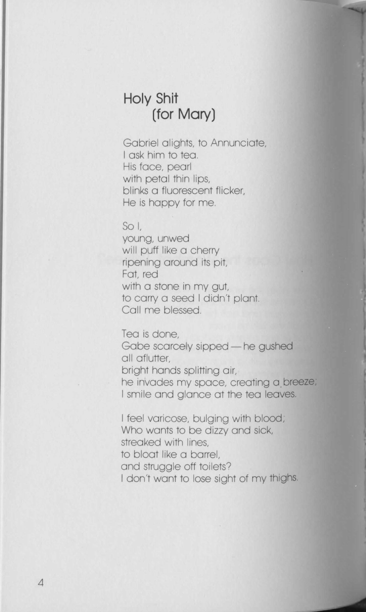## **Holy Shit (for Mary)**

Gabriel alights, to Annunciate, I ask him to tea. His face, pearl with petal thin lips, blinks a fluorescent flicker, He is happy for me.

 $SO<sub>1</sub>$ 

young, unwed will puff like a cherry ripening around its pit, Fat, red with a stone in my aut. to carry a seed I didn't plant. Call me blessed.

Tea is done, Gabe scarcely sipped - he gushed all aflutter, bright hands splitting air, he invades my space, creating a breeze, I smile and glance at the tea leaves.

I feel varicose, bulging with blood; Who wants to be dizzy and sick, streaked with lines, to bloat like a barrel, and struggle off toilets? I don't want to lose sight of my thighs.